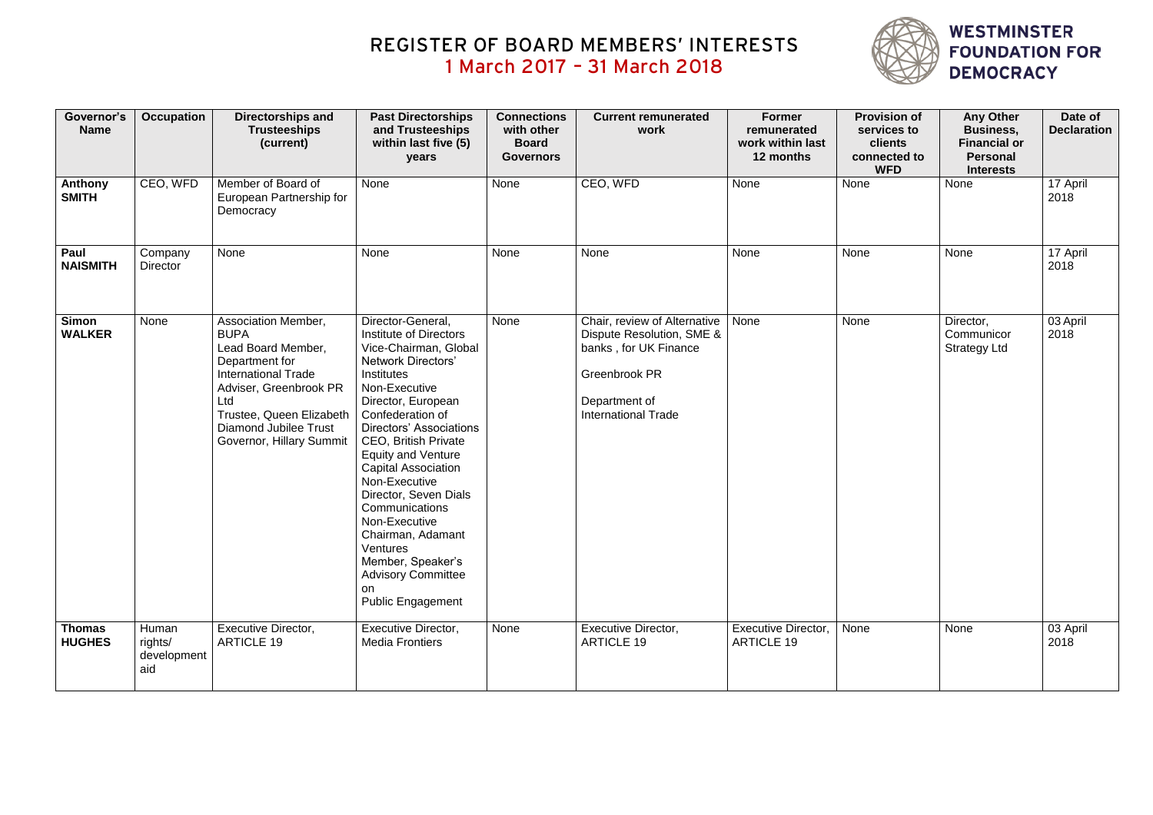| Governor's<br><b>Name</b>      | <b>Occupation</b>                      | Directorships and<br><b>Trusteeships</b><br>(current)                                                                                                                                                                             | <b>Past Directorships</b><br>and Trusteeships<br>within last five (5)<br>years                                                                                                                                                                                                                                                                                                                                                                                                                                         | <b>Connections</b><br>with other<br><b>Board</b><br><b>Governors</b> | <b>Current remunerated</b><br>work                                                                                                                        | <b>Former</b><br>remunerated<br>work within last<br>12 months | <b>Provision of</b><br>services to<br>clients<br>connected to<br><b>WFD</b> | <b>Any Other</b><br><b>Business,</b><br><b>Financial or</b><br><b>Personal</b><br><b>Interests</b> | Date of<br><b>Declaration</b> |
|--------------------------------|----------------------------------------|-----------------------------------------------------------------------------------------------------------------------------------------------------------------------------------------------------------------------------------|------------------------------------------------------------------------------------------------------------------------------------------------------------------------------------------------------------------------------------------------------------------------------------------------------------------------------------------------------------------------------------------------------------------------------------------------------------------------------------------------------------------------|----------------------------------------------------------------------|-----------------------------------------------------------------------------------------------------------------------------------------------------------|---------------------------------------------------------------|-----------------------------------------------------------------------------|----------------------------------------------------------------------------------------------------|-------------------------------|
| Anthony<br><b>SMITH</b>        | CEO, WFD                               | Member of Board of<br>European Partnership for<br>Democracy                                                                                                                                                                       | None                                                                                                                                                                                                                                                                                                                                                                                                                                                                                                                   | None                                                                 | CEO, WFD                                                                                                                                                  | None                                                          | None                                                                        | None                                                                                               | 17 April<br>2018              |
| Paul<br><b>NAISMITH</b>        | Company<br><b>Director</b>             | None                                                                                                                                                                                                                              | None                                                                                                                                                                                                                                                                                                                                                                                                                                                                                                                   | None                                                                 | None                                                                                                                                                      | None                                                          | None                                                                        | None                                                                                               | 17 April<br>2018              |
| <b>Simon</b><br><b>WALKER</b>  | None                                   | Association Member,<br><b>BUPA</b><br>Lead Board Member,<br>Department for<br><b>International Trade</b><br>Adviser, Greenbrook PR<br>Ltd<br>Trustee, Queen Elizabeth<br><b>Diamond Jubilee Trust</b><br>Governor, Hillary Summit | Director-General,<br><b>Institute of Directors</b><br>Vice-Chairman, Global<br><b>Network Directors'</b><br><b>Institutes</b><br>Non-Executive<br>Director, European<br>Confederation of<br><b>Directors' Associations</b><br><b>CEO, British Private</b><br><b>Equity and Venture</b><br><b>Capital Association</b><br>Non-Executive<br>Director, Seven Dials<br>Communications<br>Non-Executive<br>Chairman, Adamant<br>Ventures<br>Member, Speaker's<br><b>Advisory Committee</b><br>on<br><b>Public Engagement</b> | None                                                                 | Chair, review of Alternative<br>Dispute Resolution, SME &<br>banks, for UK Finance<br><b>Greenbrook PR</b><br>Department of<br><b>International Trade</b> | None                                                          | None                                                                        | Director,<br>Communicor<br><b>Strategy Ltd</b>                                                     | 03 April<br>2018              |
| <b>Thomas</b><br><b>HUGHES</b> | Human<br>rights/<br>development<br>aid | Executive Director,<br><b>ARTICLE 19</b>                                                                                                                                                                                          | Executive Director,<br><b>Media Frontiers</b>                                                                                                                                                                                                                                                                                                                                                                                                                                                                          | None                                                                 | <b>Executive Director,</b><br><b>ARTICLE 19</b>                                                                                                           | <b>Executive Director,</b><br><b>ARTICLE 19</b>               | None                                                                        | None                                                                                               | 03 April<br>2018              |

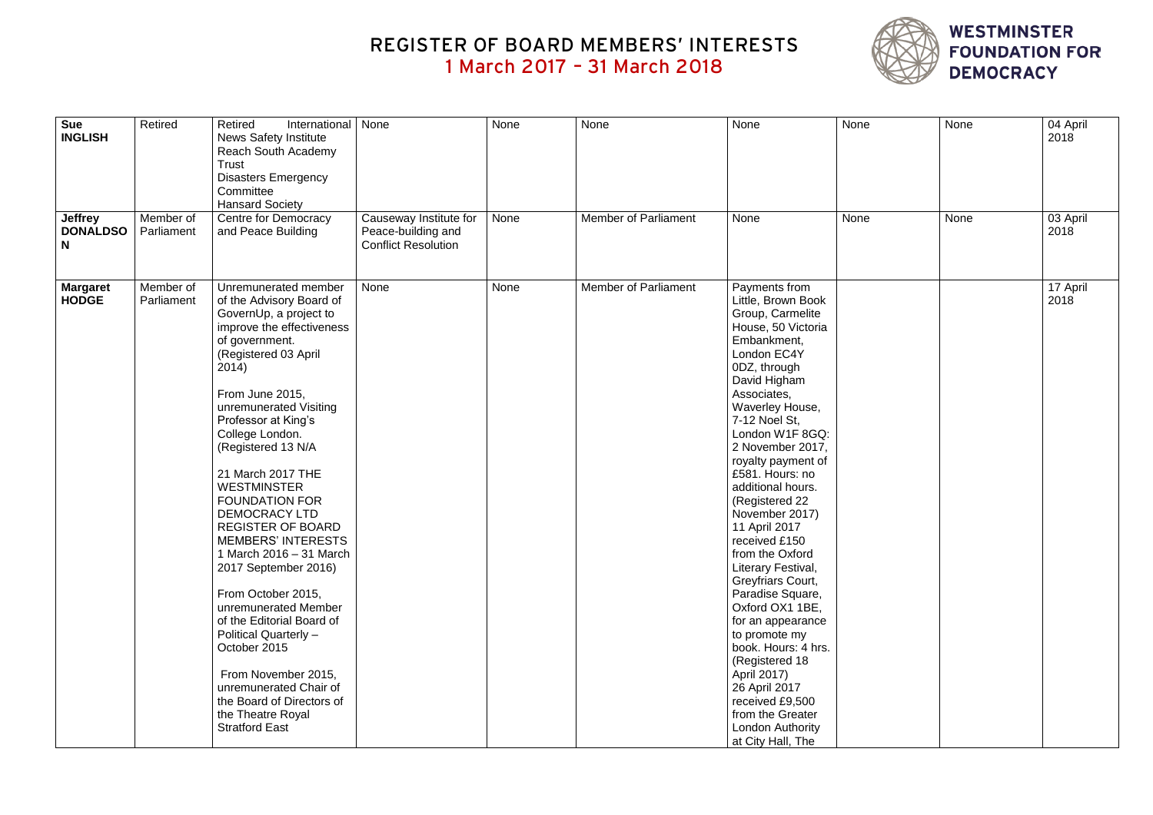| <b>Sue</b><br><b>INGLISH</b>           | Retired                 | Retired<br>International<br><b>News Safety Institute</b><br>Reach South Academy<br><b>Trust</b><br><b>Disasters Emergency</b><br>Committee<br><b>Hansard Society</b>                                                                                                                                                                                                                                                                                                                                                                                                                                                                                                                                                     | None                                                                       | None | None                        | None                                                                                                                                                                                                                                                                                                                                                                                                                                                                                                                                                                                                                                                                                 | None | None | 04 April<br>2018 |
|----------------------------------------|-------------------------|--------------------------------------------------------------------------------------------------------------------------------------------------------------------------------------------------------------------------------------------------------------------------------------------------------------------------------------------------------------------------------------------------------------------------------------------------------------------------------------------------------------------------------------------------------------------------------------------------------------------------------------------------------------------------------------------------------------------------|----------------------------------------------------------------------------|------|-----------------------------|--------------------------------------------------------------------------------------------------------------------------------------------------------------------------------------------------------------------------------------------------------------------------------------------------------------------------------------------------------------------------------------------------------------------------------------------------------------------------------------------------------------------------------------------------------------------------------------------------------------------------------------------------------------------------------------|------|------|------------------|
| <b>Jeffrey</b><br><b>DONALDSO</b><br>N | Member of<br>Parliament | Centre for Democracy<br>and Peace Building                                                                                                                                                                                                                                                                                                                                                                                                                                                                                                                                                                                                                                                                               | Causeway Institute for<br>Peace-building and<br><b>Conflict Resolution</b> | None | <b>Member of Parliament</b> | None                                                                                                                                                                                                                                                                                                                                                                                                                                                                                                                                                                                                                                                                                 | None | None | 03 April<br>2018 |
| <b>Margaret</b><br><b>HODGE</b>        | Member of<br>Parliament | Unremunerated member<br>of the Advisory Board of<br>GovernUp, a project to<br>improve the effectiveness<br>of government.<br>(Registered 03 April<br>2014)<br>From June 2015,<br>unremunerated Visiting<br>Professor at King's<br>College London.<br>(Registered 13 N/A<br>21 March 2017 THE<br><b>WESTMINSTER</b><br><b>FOUNDATION FOR</b><br>DEMOCRACY LTD<br><b>REGISTER OF BOARD</b><br><b>MEMBERS' INTERESTS</b><br>1 March 2016 - 31 March<br>2017 September 2016)<br>From October 2015,<br>unremunerated Member<br>of the Editorial Board of<br>Political Quarterly -<br>October 2015<br>From November 2015,<br>unremunerated Chair of<br>the Board of Directors of<br>the Theatre Royal<br><b>Stratford East</b> | None                                                                       | None | <b>Member of Parliament</b> | Payments from<br>Little, Brown Book<br>Group, Carmelite<br>House, 50 Victoria<br>Embankment,<br>London EC4Y<br>0DZ, through<br>David Higham<br>Associates,<br>Waverley House,<br>7-12 Noel St,<br>London W1F 8GQ:<br>2 November 2017,<br>royalty payment of<br>£581. Hours: no<br>additional hours.<br>(Registered 22<br>November 2017)<br>11 April 2017<br>received £150<br>from the Oxford<br>Literary Festival,<br>Greyfriars Court,<br>Paradise Square,<br>Oxford OX1 1BE,<br>for an appearance<br>to promote my<br>book. Hours: 4 hrs.<br>(Registered 18<br>April 2017)<br>26 April 2017<br>received £9,500<br>from the Greater<br><b>London Authority</b><br>at City Hall, The |      |      | 17 April<br>2018 |

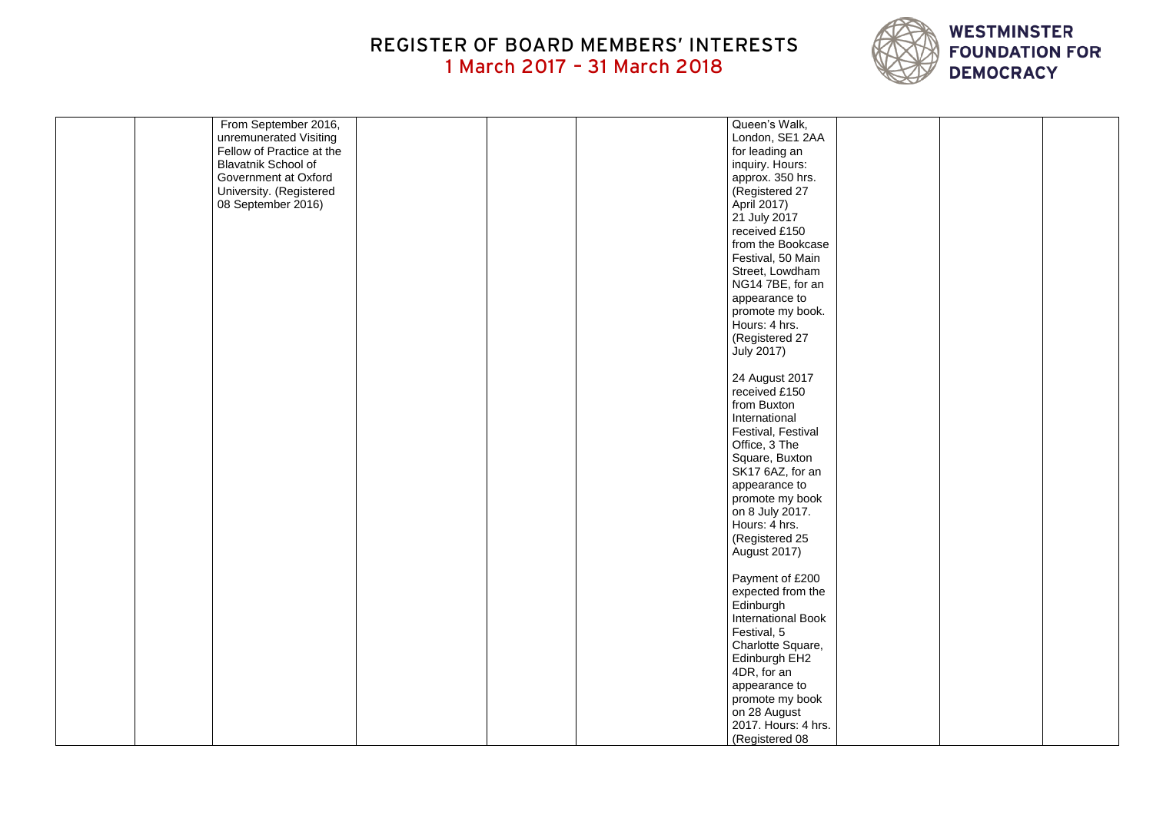| From September 2016,       |  | Queen's Walk,             |  |
|----------------------------|--|---------------------------|--|
| unremunerated Visiting     |  | London, SE1 2AA           |  |
| Fellow of Practice at the  |  | for leading an            |  |
| <b>Blavatnik School of</b> |  | inquiry. Hours:           |  |
| Government at Oxford       |  | approx. 350 hrs.          |  |
|                            |  |                           |  |
| University. (Registered    |  | (Registered 27            |  |
| 08 September 2016)         |  | April 2017)               |  |
|                            |  | 21 July 2017              |  |
|                            |  | received £150             |  |
|                            |  | from the Bookcase         |  |
|                            |  | Festival, 50 Main         |  |
|                            |  | Street, Lowdham           |  |
|                            |  | NG14 7BE, for an          |  |
|                            |  | appearance to             |  |
|                            |  | promote my book.          |  |
|                            |  | Hours: 4 hrs.             |  |
|                            |  | (Registered 27            |  |
|                            |  | <b>July 2017)</b>         |  |
|                            |  |                           |  |
|                            |  |                           |  |
|                            |  | 24 August 2017            |  |
|                            |  | received £150             |  |
|                            |  | from Buxton               |  |
|                            |  | International             |  |
|                            |  | Festival, Festival        |  |
|                            |  | Office, 3 The             |  |
|                            |  | Square, Buxton            |  |
|                            |  | SK17 6AZ, for an          |  |
|                            |  | appearance to             |  |
|                            |  | promote my book           |  |
|                            |  | on 8 July 2017.           |  |
|                            |  | Hours: 4 hrs.             |  |
|                            |  | (Registered 25            |  |
|                            |  | <b>August 2017)</b>       |  |
|                            |  |                           |  |
|                            |  | Payment of £200           |  |
|                            |  | expected from the         |  |
|                            |  | Edinburgh                 |  |
|                            |  | <b>International Book</b> |  |
|                            |  |                           |  |
|                            |  | Festival, 5               |  |
|                            |  | Charlotte Square,         |  |
|                            |  | Edinburgh EH2             |  |
|                            |  | 4DR, for an               |  |
|                            |  | appearance to             |  |
|                            |  | promote my book           |  |
|                            |  | on 28 August              |  |
|                            |  | 2017. Hours: 4 hrs.       |  |
|                            |  | (Registered 08            |  |

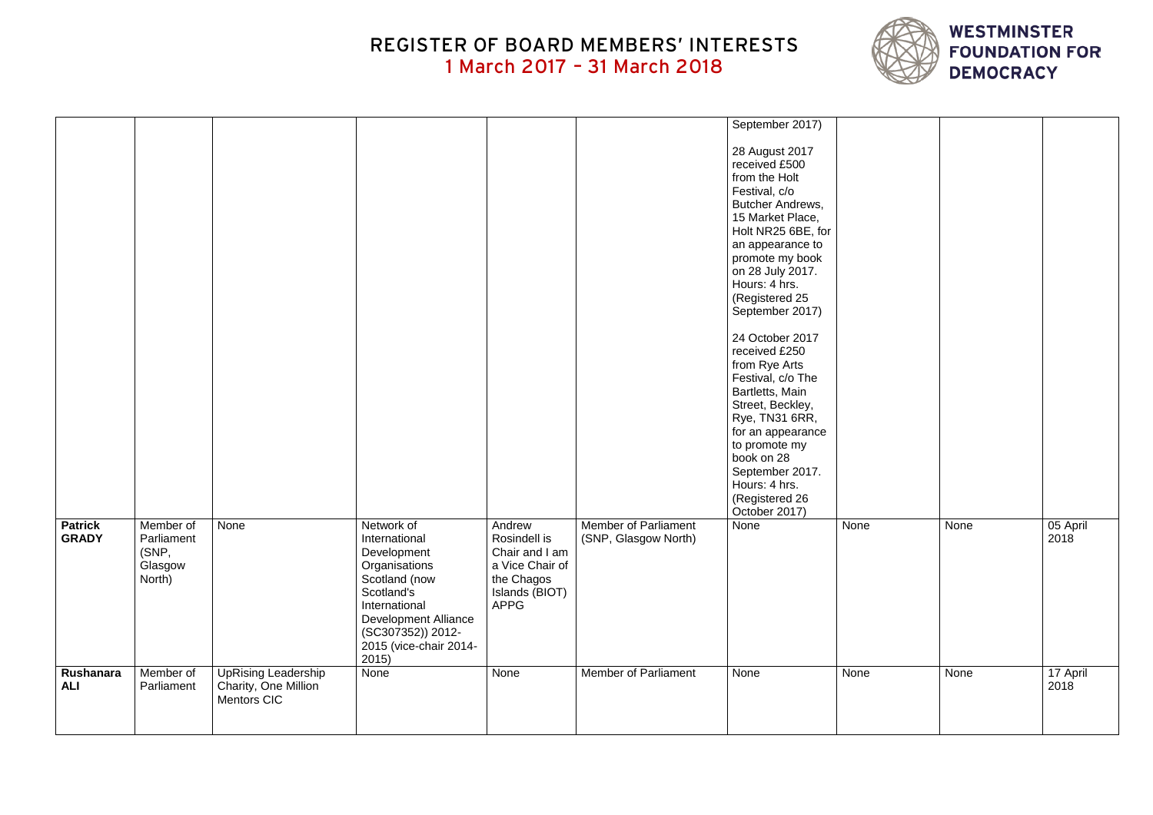|                                |                                                       |                                                                   |                                                                                                                                                                                                    |                                                                                                            |                                                     | September 2017)                                                                                                                                                                                                                                                                                                                                                                                                                                                                                                       |      |      |                  |
|--------------------------------|-------------------------------------------------------|-------------------------------------------------------------------|----------------------------------------------------------------------------------------------------------------------------------------------------------------------------------------------------|------------------------------------------------------------------------------------------------------------|-----------------------------------------------------|-----------------------------------------------------------------------------------------------------------------------------------------------------------------------------------------------------------------------------------------------------------------------------------------------------------------------------------------------------------------------------------------------------------------------------------------------------------------------------------------------------------------------|------|------|------------------|
|                                |                                                       |                                                                   |                                                                                                                                                                                                    |                                                                                                            |                                                     | 28 August 2017<br>received £500<br>from the Holt<br>Festival, c/o<br><b>Butcher Andrews,</b><br>15 Market Place,<br>Holt NR25 6BE, for<br>an appearance to<br>promote my book<br>on 28 July 2017.<br>Hours: 4 hrs.<br>(Registered 25<br>September 2017)<br>24 October 2017<br>received £250<br>from Rye Arts<br>Festival, c/o The<br>Bartletts, Main<br>Street, Beckley,<br>Rye, TN31 6RR,<br>for an appearance<br>to promote my<br>book on 28<br>September 2017.<br>Hours: 4 hrs.<br>(Registered 26<br>October 2017) |      |      |                  |
| <b>Patrick</b><br><b>GRADY</b> | Member of<br>Parliament<br>(SNP,<br>Glasgow<br>North) | None                                                              | Network of<br>International<br>Development<br>Organisations<br>Scotland (now<br>Scotland's<br>International<br><b>Development Alliance</b><br>(SC307352)) 2012-<br>2015 (vice-chair 2014-<br>2015) | Andrew<br>Rosindell is<br>Chair and I am<br>a Vice Chair of<br>the Chagos<br>Islands (BIOT)<br><b>APPG</b> | <b>Member of Parliament</b><br>(SNP, Glasgow North) | None                                                                                                                                                                                                                                                                                                                                                                                                                                                                                                                  | None | None | 05 April<br>2018 |
| Rushanara<br><b>ALI</b>        | Member of<br>Parliament                               | <b>UpRising Leadership</b><br>Charity, One Million<br>Mentors CIC | None                                                                                                                                                                                               | None                                                                                                       | <b>Member of Parliament</b>                         | None                                                                                                                                                                                                                                                                                                                                                                                                                                                                                                                  | None | None | 17 April<br>2018 |